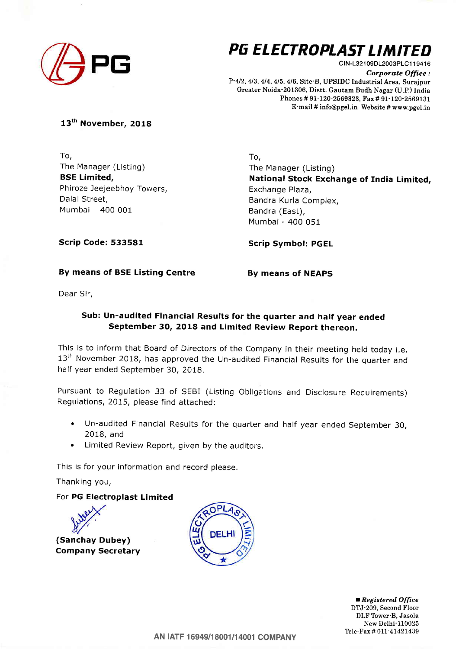

# PG ELECTROPLAST LIMITED

CIN-L32109DL2003PLC119416 Corporate Office: P-412, 413, 414, 415,4/6, Site-B, UPSIDC Industrial Area, Surajpur Greater Noida-201306, Distt. Gautam Budh Nagar (U.P.) India Phones #91-120'2569323, Fax # 91-120-2569131 E-mail # info@pgel.in Website # www.pgel.in

### 13<sup>th</sup> November, 2018

To, The Manager (Listing) BSE Limited, Phiroze Jeejeebhoy Towers, Dalal Street, Mumbai - 400 <sup>001</sup>

To, The Manager (Listing) National Stock Exchange of India Limited, Exchange Plaza, Bandra Kurla Complex, Bandra (East), Mumbai - 400 051

Scrip Code: 533581

Scrip Symbol: PGEL

### By means of BSE Listing Centre

By means of NEAPS

Dear Sir,

## Sub: Un-audited Financial Results for the quarter and half year ended September 3O, 2O18 and Limited Review Report thereon.

This is to inform that Board of Directors of the Company in their meeting held today i.e. 13<sup>th</sup> November 2018, has approved the Un-audited Financial Results for the quarter and half year ended September 30, 2018,

Pursuant to Regulation 33 of SEBI (Listing Obligations and Disclosure Requirements) Regulations, 2015, please find attached:

- . Un-audited Financial Results for the quarter and half year ended September 30, 2018, and
- . Limited Review Report, given by the auditors.

This is for your information and record please,

Thanking you,

## For PG Electroplast Limited



(Sanchay Dubey) Company Secretary



Registered Office DTJ-209, Second Floor DLF Tower B, Jasola New Delhi-110025 Tele-Fax # 011-41421439

AN |ATF 16949/18001/14001 COMPANY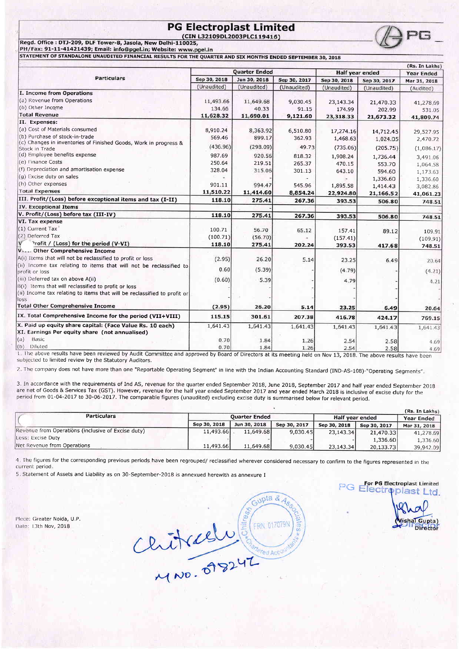# PG Electroplast Limited  $\bigcirc$   $\bigcirc$  PG



STATEMENT OF STANDALONE UNAUDITED FINANCIAL RESULTS FOR THE QUARTER AND SIX MONTHS ENDED SEPTEMBER 30, 2O1A

|                                                                                      |                      |              |              |                 |              | (Rs. In Lakhs) |  |
|--------------------------------------------------------------------------------------|----------------------|--------------|--------------|-----------------|--------------|----------------|--|
| <b>Particulars</b>                                                                   | <b>Quarter Ended</b> |              |              | Half year ended |              | Year Ended     |  |
|                                                                                      | Sep 30, 2018         | Jun 30, 2018 | Sep 30, 2017 | Sep 30, 2018    | Sep 30, 2017 | Mar 31, 2018   |  |
|                                                                                      | (Unaudited)          | (Unaudited)  | (Unaudited)  | (Unaudited)     | (Unaudited)  | (Audited)      |  |
| I. Income from Operations                                                            |                      |              |              |                 |              |                |  |
| (a) Revenue from Operations                                                          | 11,493.66            | 11,649.68    | 9,030.45     | 23,143.34       | 21,470.33    | 41,278.69      |  |
| (b) Other Income                                                                     | 134.66               | 40.33        | 91.15        | 174.99          | 202.99       | 531.05         |  |
| <b>Total Revenue</b>                                                                 | 11,628.32            | 11,690.01    | 9,121.60     | 23,318.33       | 21,673.32    | 41,809.74      |  |
| II. Expenses:                                                                        |                      |              |              |                 |              |                |  |
| (a) Cost of Materials consumed                                                       | 8,910.24             | 8,363.92     | 6,510.80     | 17,274.16       | 14,712.45    | 29,527.95      |  |
| (b) Purchase of stock-in-trade                                                       | 569.46               | 899.17       | 362,93       | 1,468.63        | 1,024.05     | 2,470.72       |  |
| (c) Changes in inventories of Finished Goods, Work in progress &<br>Stock in Trade   | (436.96)             | (298.09)     | 49.73        | (735.06)        | (205.75)     | (1,086,17)     |  |
| (d) Employee benefits expense                                                        | 987.69               | 920.56       | 818.32       | 1,908.24        | 1,736.44     | 3,491.06       |  |
| (e) Finance Costs                                                                    | 250.64               | 219.51       | 265.37       | 470.15          | 553.70       | 1,064.58       |  |
| (f) Depreciation and amortisation expense                                            | 328.04               | 315.06       | 301.13       | 643.10          | 594.60       | 1,173.63       |  |
| (g) Excise duty on sales                                                             |                      |              |              |                 | 1,336.60     | 1,336.60       |  |
| (h) Other expenses                                                                   | 901.11               | 994.47       | 545.96       | 1,895.58        | 1,414.43     | 3,082.86       |  |
| <b>Total Expenses</b>                                                                | 11,510.22            | 11,414.60    | 8,854.24     | 22,924.80       | 21,166.52    | 41,061.23      |  |
| III. Profit/(Loss) before exceptional items and tax (I-II)                           | 118.10               | 275.41       | 267.36       | 393.53          | 506.80       | 748.51         |  |
| <b>IV. Exceptional Items</b>                                                         |                      |              |              |                 |              |                |  |
| V. Profit/(Loss) before tax (III-IV)                                                 | 118.10               | 275.41       | 267.36       | 393.53          | 506.80       | 748.51         |  |
| VI. Tax expense                                                                      |                      |              |              |                 |              |                |  |
| $(1)$ Current Tax $'$                                                                | 100.71               | 56.70        | 65.12        | 157.41          | 89.12        | 109.91         |  |
| (2) Deferred Tax                                                                     | (100.71)             | (56.70)      |              | (157.41)        |              | (109.91)       |  |
| Profit / (Loss) for the period (V-VI)                                                | 118.10               | 275.41       | 202.24       | 393.53          | 417.68       | 748.51         |  |
| V Other Comprehensive Income                                                         |                      |              |              |                 |              |                |  |
| A(i) Items that will not be reclassified to profit or loss                           | (2.95)               | 26.20        | 5.14         | 23.25           | 6.49         | 20.64          |  |
| (ii) Income tax relating to items that will not be reclassified to<br>profit or loss | 0.60                 | (5.39)       |              | (4.79)          |              | (4.21)         |  |
| (iii) Deferred tax on above A(ii)                                                    | (0.60)               | 5.39         |              | 4.79            |              |                |  |
| B(i) Items that will reclassified to profit or loss                                  |                      |              |              |                 |              | 4.21           |  |
| (ii) Income tax relating to items that will be reclassified to profit or             |                      |              |              |                 |              |                |  |
| loss                                                                                 |                      |              |              |                 |              |                |  |
| <b>Total Other Comprehensive Income</b>                                              | (2.95)               | 26.20        | 5.14         | 23.25           | 6.49         | 20.64          |  |
| IX. Total Comprehensive Income for the period (VII+VIII)                             | 115.15               | 301.61       | 207.38       | 416.78          | 424.17       | 769.15         |  |
| X. Paid up equity share capital: (Face Value Rs. 10 each)                            | 1,641.43             | 1,641.43     | 1,641.43     | 1,641.43        | 1,641.43     | 1,641.43       |  |
| XI. Earnings Per equity share (not annualised)                                       |                      |              |              |                 |              |                |  |
| Basic<br>(a)                                                                         | 0.70                 | 1.84         | 1.26         | 2.54            | 2.58         | 4.69           |  |
| (b) Diluted<br>1. The above recults have been reviewed by Audit Cars.                | 0.70                 | 1.84         | 1.26         | 2.54            | 2.58         | 4.69           |  |

The above results have been reviewed by Audit Committee and approved by Board of Directors at its meeting held on Nov 13, 2018. The above results have been subjected to limited review by the Statutory Auditors.

2. The company does not have more than one "Reportable Operating Segment" in line with the Indian Accounting Standard (IND-AS-108)-"Operating Segments",

3. In accordance with the requirements of Ind AS, revenue for the quarter ended September 2018, June 2018, September 2017 and half year ended September 2018 are net of Goods & Services Tax (GST). However, revenue for the half year ended September 2017 and year ended March 2018 is inclusive of excise duty for the period from 01-04-2017 to 30-06-2017. The comparable figures (una

|                                                    |                      |              |              |                 |              | (Rs. In Lakhs) |
|----------------------------------------------------|----------------------|--------------|--------------|-----------------|--------------|----------------|
| <b>Particulars</b>                                 | <b>Ouarter Ended</b> |              |              | Half year ended |              | Year Ended     |
|                                                    | Sep 30, 2018         | Jun 30, 2018 | Sep 30, 2017 | Sep 30, 2018    | Sep 30, 2017 | Mar 31, 2018   |
| Revenue from Operations (inclusive of Excise duty) | 11,493.66            | 11.649.68    | 9,030.45     | 23,143.34       | 21,470.33    | 41,278.69      |
| Less: Excise Duty                                  |                      |              |              |                 | 1,336.60     | 1,336.60       |
| Net Revenue from Operations                        | 11,493.66            | 11,649.68    | 9,030,45     | 23,143,34       | 20,133.73    | 39,942.09      |

4. The figures for the corresponding previous periods have been regrouped/ reclassified wherever considered necessary to confirm to the figures represented in the current period

5 Statement of Assets and Liability as on 3o-September-2018 is annexued herewith as annexure I

Plece: Greater Noida, U.P. Date: 13th Nov, 2018

Gupta & Ass  $CUTKLellV$ 

For PG Electroplast Limited F lecti plast Ltd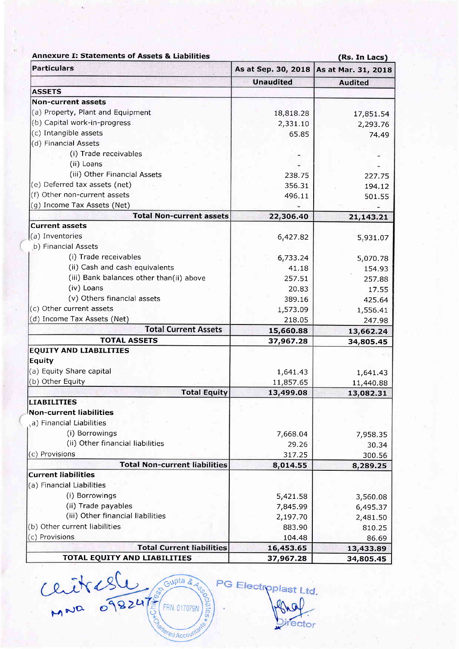| <b>Annexure I: Statements of Assets &amp; Liabilities</b> |                     | (Rs. In Lacs)          |  |  |  |
|-----------------------------------------------------------|---------------------|------------------------|--|--|--|
| <b>Particulars</b>                                        | As at Sep. 30, 2018 | As at Mar. 31, 2018    |  |  |  |
|                                                           | <b>Unaudited</b>    | <b>Audited</b>         |  |  |  |
| <b>ASSETS</b>                                             |                     |                        |  |  |  |
| <b>Non-current assets</b>                                 |                     |                        |  |  |  |
| (a) Property, Plant and Equipment                         | 18,818.28           | 17,851.54              |  |  |  |
| (b) Capital work-in-progress.                             | 2,331.10            | 2,293.76               |  |  |  |
| (c) Intangible assets                                     | 65.85               | 74.49                  |  |  |  |
| (d) Financial Assets                                      |                     |                        |  |  |  |
| (i) Trade receivables                                     |                     |                        |  |  |  |
| (ii) Loans                                                |                     |                        |  |  |  |
| (iii) Other Financial Assets                              | 238.75              | 227.75                 |  |  |  |
| (e) Deferred tax assets (net)                             | 356.31              | 194.12                 |  |  |  |
| (f) Other non-current assets                              | 496.11              | 501.55                 |  |  |  |
| (g) Income Tax Assets (Net)                               |                     |                        |  |  |  |
| <b>Total Non-current assets</b>                           | 22,306.40           | 21,143.21              |  |  |  |
| <b>Current assets</b>                                     |                     |                        |  |  |  |
| (a) Inventories                                           | 6,427.82            | 5,931.07               |  |  |  |
| b) Financial Assets                                       |                     |                        |  |  |  |
| (i) Trade receivables                                     | 6,733.24            | 5,070.78               |  |  |  |
| (ii) Cash and cash equivalents                            | 41.18               | 154.93                 |  |  |  |
| (iii) Bank balances other than(ii) above                  | 257.51              | 257.88                 |  |  |  |
| (iv) Loans                                                | 20.83               | 17.55                  |  |  |  |
| (v) Others financial assets                               | 389.16              | 425.64                 |  |  |  |
| (c) Other current assets                                  | 1,573.09            | 1,556.41               |  |  |  |
| (d) Income Tax Assets (Net)                               | 218.05              |                        |  |  |  |
| <b>Total Current Assets</b>                               | 15,660.88           | 247.98                 |  |  |  |
| <b>TOTAL ASSETS</b>                                       | 37,967.28           | 13,662.24<br>34,805.45 |  |  |  |
| <b>EQUITY AND LIABILITIES</b>                             |                     |                        |  |  |  |
| Equity                                                    |                     |                        |  |  |  |
| (a) Equity Share capital                                  | 1,641.43            | 1,641.43               |  |  |  |
| (b) Other Equity                                          | 11,857.65           | 11,440.88              |  |  |  |
| <b>Total Equity</b>                                       | 13,499.08           | 13,082.31              |  |  |  |
| <b>LIABILITIES</b>                                        |                     |                        |  |  |  |
| <b>Non-current liabilities</b>                            |                     |                        |  |  |  |
| (a) Financial Liabilities                                 |                     |                        |  |  |  |
| (i) Borrowings                                            | 7,668.04            | 7,958.35               |  |  |  |
| (ii) Other financial liabilities                          | 29.26               | 30.34                  |  |  |  |
| (c) Provisions                                            | 317.25              | 300.56                 |  |  |  |
| <b>Total Non-current liabilities</b>                      | 8,014.55            | 8,289.25               |  |  |  |
| <b>Current liabilities</b>                                |                     |                        |  |  |  |
| (a) Financial Liabilities                                 |                     |                        |  |  |  |
| (i) Borrowings                                            | 5,421.58            | 3,560.08               |  |  |  |
| (ii) Trade payables                                       | 7,845.99            | 6,495.37               |  |  |  |
| (iii) Other financial liabilities                         | 2,197.70            | 2,481.50               |  |  |  |
| (b) Other current liabilities                             | 883.90              | 810.25                 |  |  |  |
| (c) Provisions                                            | 104.48              | 86.69                  |  |  |  |
| <b>Total Current liabilities</b>                          | 16,453.65           |                        |  |  |  |
|                                                           |                     | 13,433.89              |  |  |  |
| TOTAL EQUITY AND LIABILITIES                              | 37,967.28           | 34,805.45              |  |  |  |

Chitresle Croupta & Ag ciates.

ered Accoun

PG Electroplast Ltd. ector